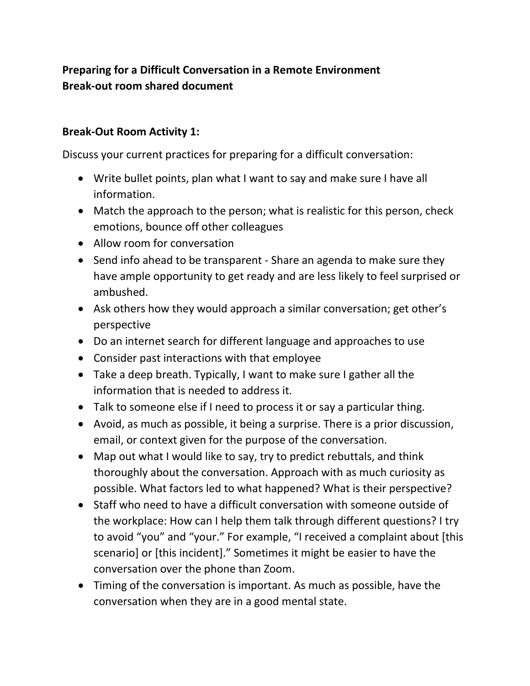## **Preparing for a Difficult Conversation in a Remote Environment Break-out room shared document**

## **Break-Out Room Activity 1:**

Discuss your current practices for preparing for a difficult conversation:

- Write bullet points, plan what I want to say and make sure I have all information.
- Match the approach to the person; what is realistic for this person, check emotions, bounce off other colleagues
- Allow room for conversation
- Send info ahead to be transparent Share an agenda to make sure they have ample opportunity to get ready and are less likely to feel surprised or ambushed.
- Ask others how they would approach a similar conversation; get other's perspective
- Do an internet search for different language and approaches to use
- Consider past interactions with that employee
- Take a deep breath. Typically, I want to make sure I gather all the information that is needed to address it.
- Talk to someone else if I need to process it or say a particular thing.
- Avoid, as much as possible, it being a surprise. There is a prior discussion, email, or context given for the purpose of the conversation.
- Map out what I would like to say, try to predict rebuttals, and think thoroughly about the conversation. Approach with as much curiosity as possible. What factors led to what happened? What is their perspective?
- Staff who need to have a difficult conversation with someone outside of the workplace: How can I help them talk through different questions? I try to avoid "you" and "your." For example, "I received a complaint about [this scenario] or [this incident]." Sometimes it might be easier to have the conversation over the phone than Zoom.
- Timing of the conversation is important. As much as possible, have the conversation when they are in a good mental state.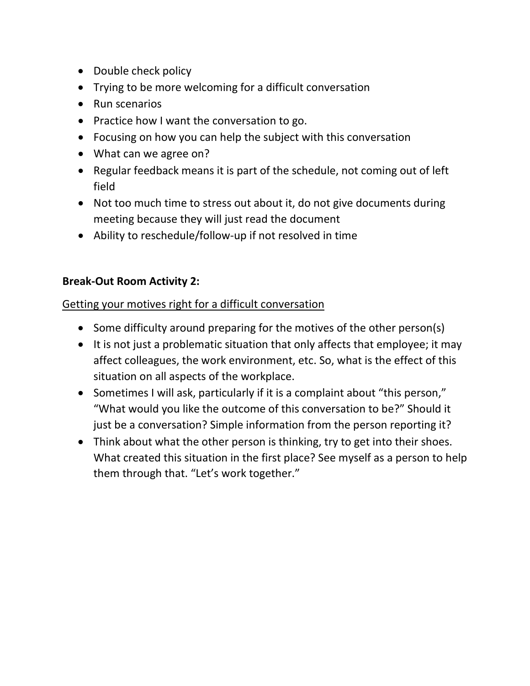- Double check policy
- Trying to be more welcoming for a difficult conversation
- Run scenarios
- Practice how I want the conversation to go.
- Focusing on how you can help the subject with this conversation
- What can we agree on?
- Regular feedback means it is part of the schedule, not coming out of left field
- Not too much time to stress out about it, do not give documents during meeting because they will just read the document
- Ability to reschedule/follow-up if not resolved in time

## **Break-Out Room Activity 2:**

## Getting your motives right for a difficult conversation

- Some difficulty around preparing for the motives of the other person(s)
- It is not just a problematic situation that only affects that employee; it may affect colleagues, the work environment, etc. So, what is the effect of this situation on all aspects of the workplace.
- Sometimes I will ask, particularly if it is a complaint about "this person," "What would you like the outcome of this conversation to be?" Should it just be a conversation? Simple information from the person reporting it?
- Think about what the other person is thinking, try to get into their shoes. What created this situation in the first place? See myself as a person to help them through that. "Let's work together."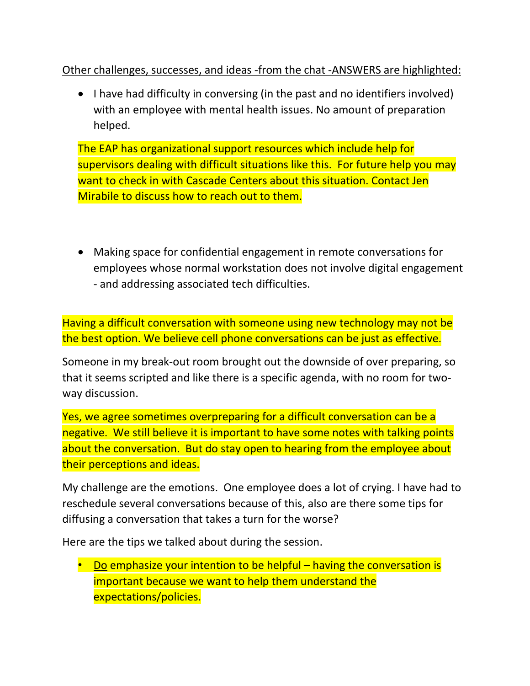Other challenges, successes, and ideas -from the chat -ANSWERS are highlighted:

• I have had difficulty in conversing (in the past and no identifiers involved) with an employee with mental health issues. No amount of preparation helped.

The EAP has organizational support resources which include help for supervisors dealing with difficult situations like this. For future help you may want to check in with Cascade Centers about this situation. Contact Jen Mirabile to discuss how to reach out to them.

• Making space for confidential engagement in remote conversations for employees whose normal workstation does not involve digital engagement - and addressing associated tech difficulties.

Having a difficult conversation with someone using new technology may not be the best option. We believe cell phone conversations can be just as effective.

Someone in my break-out room brought out the downside of over preparing, so that it seems scripted and like there is a specific agenda, with no room for twoway discussion.

Yes, we agree sometimes overpreparing for a difficult conversation can be a negative. We still believe it is important to have some notes with talking points about the conversation. But do stay open to hearing from the employee about their perceptions and ideas.

My challenge are the emotions. One employee does a lot of crying. I have had to reschedule several conversations because of this, also are there some tips for diffusing a conversation that takes a turn for the worse?

Here are the tips we talked about during the session.

• Do emphasize your intention to be helpful – having the conversation is important because we want to help them understand the expectations/policies.